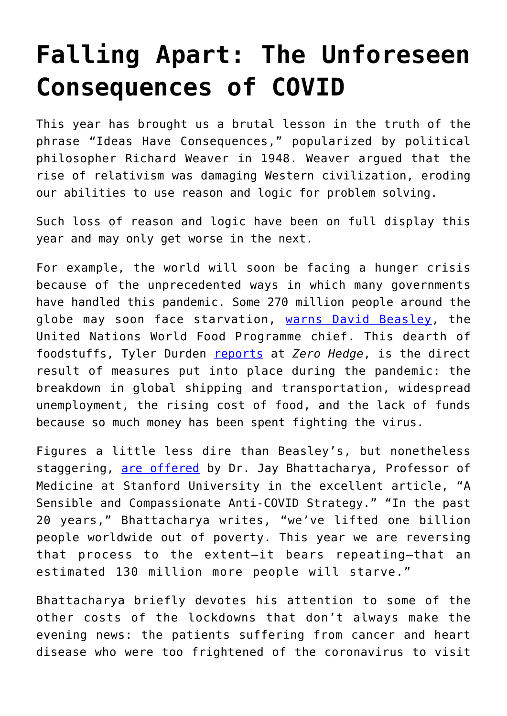## **[Falling Apart: The Unforeseen](https://intellectualtakeout.org/2020/12/falling-apart-the-unforeseen-consequences-of-covid/) [Consequences of COVID](https://intellectualtakeout.org/2020/12/falling-apart-the-unforeseen-consequences-of-covid/)**

This year has brought us a brutal lesson in the truth of the phrase "Ideas Have Consequences," popularized by political philosopher Richard Weaver in 1948. Weaver argued that the rise of relativism was damaging Western civilization, eroding our abilities to use reason and logic for problem solving.

Such loss of reason and logic have been on full display this year and may only get worse in the next.

For example, the world will soon be facing a hunger crisis because of the unprecedented ways in which many governments have handled this pandemic. Some 270 million people around the globe may soon face starvation, [warns David Beasley](https://www.wfp.org/news/wfp-chief-warns-grave-dangers-economic-impact-coronavirus-millions-are-pushed-further-hunger), the United Nations World Food Programme chief. This dearth of foodstuffs, Tyler Durden [reports](https://www.zerohedge.com/geopolitical/2021-will-be-catastrophic-un-warns-humanitarian-crisis-270-million-people-starve) at *Zero Hedge*, is the direct result of measures put into place during the pandemic: the breakdown in global shipping and transportation, widespread unemployment, the rising cost of food, and the lack of funds because so much money has been spent fighting the virus.

Figures a little less dire than Beasley's, but nonetheless staggering, [are offered](https://imprimis.hillsdale.edu/sensible-compassionate-anti-covid-strategy/) by Dr. Jay Bhattacharya, Professor of Medicine at Stanford University in the excellent article, "A Sensible and Compassionate Anti-COVID Strategy." "In the past 20 years," Bhattacharya writes, "we've lifted one billion people worldwide out of poverty. This year we are reversing that process to the extent—it bears repeating—that an estimated 130 million more people will starve."

Bhattacharya briefly devotes his attention to some of the other costs of the lockdowns that don't always make the evening news: the patients suffering from cancer and heart disease who were too frightened of the coronavirus to visit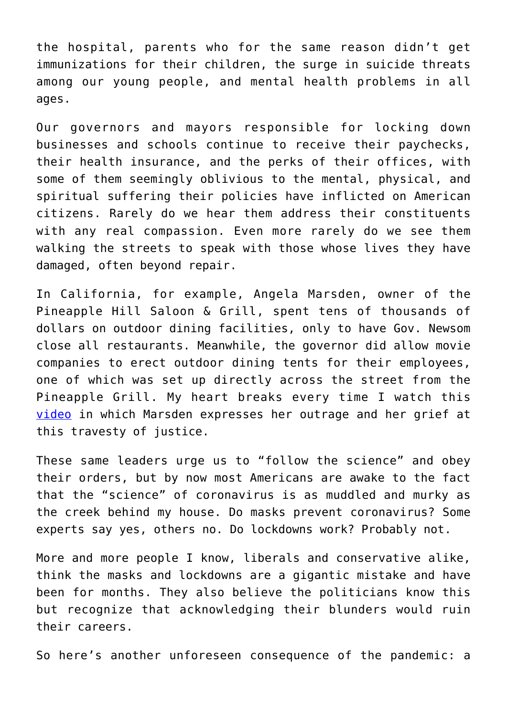the hospital, parents who for the same reason didn't get immunizations for their children, the surge in suicide threats among our young people, and mental health problems in all ages.

Our governors and mayors responsible for locking down businesses and schools continue to receive their paychecks, their health insurance, and the perks of their offices, with some of them seemingly oblivious to the mental, physical, and spiritual suffering their policies have inflicted on American citizens. Rarely do we hear them address their constituents with any real compassion. Even more rarely do we see them walking the streets to speak with those whose lives they have damaged, often beyond repair.

In California, for example, Angela Marsden, owner of the Pineapple Hill Saloon & Grill, spent tens of thousands of dollars on outdoor dining facilities, only to have Gov. Newsom close all restaurants. Meanwhile, the governor did allow movie companies to erect outdoor dining tents for their employees, one of which was set up directly across the street from the Pineapple Grill. My heart breaks every time I watch this [video](https://www.youtube.com/watch?v=3-86gfJosHc) in which Marsden expresses her outrage and her grief at this travesty of justice.

These same leaders urge us to "follow the science" and obey their orders, but by now most Americans are awake to the fact that the "science" of coronavirus is as muddled and murky as the creek behind my house. Do masks prevent coronavirus? Some experts say yes, others no. Do lockdowns work? Probably not.

More and more people I know, liberals and conservative alike, think the masks and lockdowns are a gigantic mistake and have been for months. They also believe the politicians know this but recognize that acknowledging their blunders would ruin their careers.

So here's another unforeseen consequence of the pandemic: a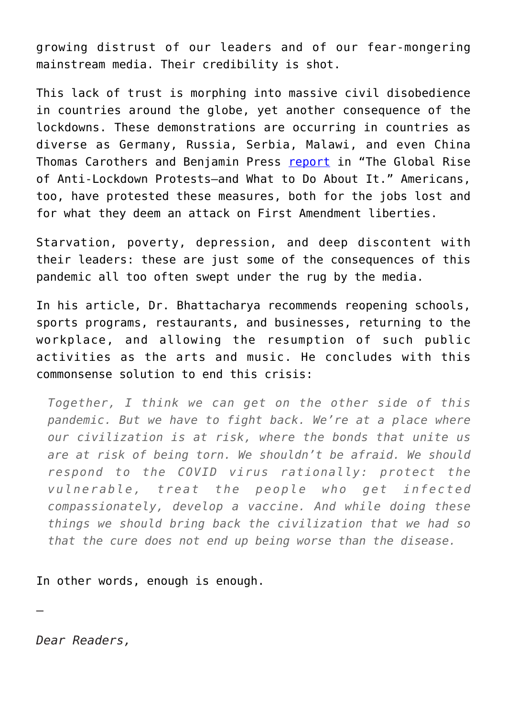growing distrust of our leaders and of our fear-mongering mainstream media. Their credibility is shot.

This lack of trust is morphing into massive civil disobedience in countries around the globe, yet another consequence of the lockdowns. These demonstrations are occurring in countries as diverse as Germany, Russia, Serbia, Malawi, and even China Thomas Carothers and Benjamin Press [report](https://www.worldpoliticsreview.com/articles/29137/amid-the-covid-19-pandemic-protest-movements-challenge-lockdowns-worldwide) in "The Global Rise of Anti-Lockdown Protests—and What to Do About It." Americans, too, have protested these measures, both for the jobs lost and for what they deem an attack on First Amendment liberties.

Starvation, poverty, depression, and deep discontent with their leaders: these are just some of the consequences of this pandemic all too often swept under the rug by the media.

In his article, Dr. Bhattacharya recommends reopening schools, sports programs, restaurants, and businesses, returning to the workplace, and allowing the resumption of such public activities as the arts and music. He concludes with this commonsense solution to end this crisis:

*Together, I think we can get on the other side of this pandemic. But we have to fight back. We're at a place where our civilization is at risk, where the bonds that unite us are at risk of being torn. We shouldn't be afraid. We should respond to the COVID virus rationally: protect the vulnerable, treat the people who get infected compassionately, develop a vaccine. And while doing these things we should bring back the civilization that we had so that the cure does not end up being worse than the disease.*

In other words, enough is enough.

*Dear Readers,*

—